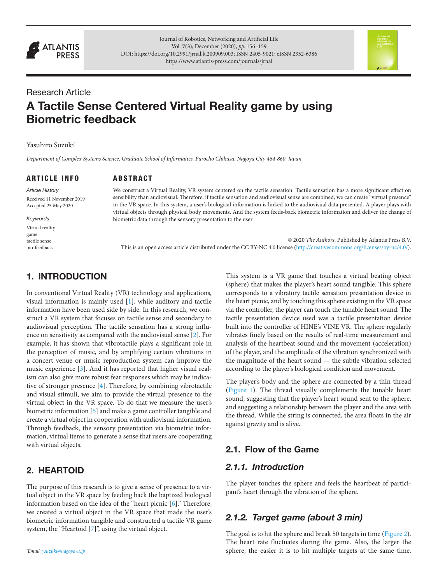

Journal of Robotics, Networking and Artificial Life Vol. **7**(**3**); December (2020), *pp.* 156–159 DOI: [https://doi.org/10.2991/jrnal.k.200909.003;](https://doi.org/10.2991/jrnal.k.200909.003) ISSN 2405-9021; eISSN 2352-6386 <https://www.atlantis-press.com/journals/jrnal>



# Research Article A Tactile Sense Centered Virtual Reality game by using Biometric feedback

Yasuhiro Suzuki\*

*Department of Complex Systems Science, Graduate School of Informatics, Furocho Chikusa, Nagoya City 464-860, Japan*

ARTICLE INFO

#### ABSTRACT

*Article History* Received 11 November 2019 Accepted 25 May 2020

*Keywords*

Virtual reality game tactile sense bio-feedback

We construct a Virtual Reality, VR system centered on the tactile sensation. Tactile sensation has a more significant effect on sensibility than audiovisual. Therefore, if tactile sensation and audiovisual sense are combined, we can create "virtual presence" in the VR space. In this system, a user's biological information is linked to the audiovisual data presented. A player plays with virtual objects through physical body movements. And the system feeds-back biometric information and deliver the change of biometric data through the sensory presentation to the user.

© 2020 *The Authors*. Published by Atlantis Press B.V. This is an open access article distributed under the CC BY-NC 4.0 license ([http://creativecommons.org/licenses/by-nc/4.0/\)](http://creativecommons.org/licenses/by-nc/4.0/).

### 1. INTRODUCTION

In conventional Virtual Reality (VR) technology and applications, visual information is mainly used [\[1\]](#page-2-0), while auditory and tactile information have been used side by side. In this research, we construct a VR system that focuses on tactile sense and secondary to audiovisual perception. The tactile sensation has a strong influence on sensitivity as compared with the audiovisual sense [[2](#page-2-0)]. For example, it has shown that vibrotactile plays a significant role in the perception of music, and by amplifying certain vibrations in a concert venue or music reproduction system can improve the music experience [[3](#page-2-0)]. And it has reported that higher visual realism can also give more robust fear responses which may be indicative of stronger presence [\[4](#page-2-1)]. Therefore, by combining vibrotactile and visual stimuli, we aim to provide the virtual presence to the virtual object in the VR space. To do that we measure the user's biometric information [[5](#page-2-0)] and make a game controller tangible and create a virtual object in cooperation with audiovisual information. Through feedback, the sensory presentation via biometric information, virtual items to generate a sense that users are cooperating with virtual objects.

# 2. HEARTOID

The purpose of this research is to give a sense of presence to a virtual object in the VR space by feeding back the baptized biological information based on the idea of the "heart picnic [[6](#page-2-0)]." Therefore, we created a virtual object in the VR space that made the user's biometric information tangible and constructed a tactile VR game system, the "Heartoid [\[7](#page-2-0)]", using the virtual object.

<span id="page-0-0"></span>This system is a VR game that touches a virtual beating object (sphere) that makes the player's heart sound tangible. This sphere corresponds to a vibratory tactile sensation presentation device in the heart picnic, and by touching this sphere existing in the VR space via the controller, the player can touch the tunable heart sound. The tactile presentation device used was a tactile presentation device built into the controller of HINE's VINE VR. The sphere regularly vibrates finely based on the results of real-time measurement and analysis of the heartbeat sound and the movement (acceleration) of the player, and the amplitude of the vibration synchronized with the magnitude of the heart sound — the subtle vibration selected according to the player's biological condition and movement.

<span id="page-0-4"></span><span id="page-0-3"></span><span id="page-0-2"></span><span id="page-0-1"></span>The player's body and the sphere are connected by a thin thread ([Figure 1\)](#page-1-0). The thread visually complements the tunable heart sound, suggesting that the player's heart sound sent to the sphere, and suggesting a relationship between the player and the area with the thread. While the string is connected, the area floats in the air against gravity and is alive.

#### 2.1. Flow of the Game

### *2.1.1. Introduction*

The player touches the sphere and feels the heartbeat of participant's heart through the vibration of the sphere.

# <span id="page-0-6"></span><span id="page-0-5"></span>*2.1.2. Target game (about 3 min)*

The goal is to hit the sphere and break 50 targets in time ([Figure 2\)](#page-1-1). The heart rate fluctuates during the game. Also, the larger the sphere, the easier it is to hit multiple targets at the same time.

*<sup>\*</sup> Email: [ysuzuki@nagoya-u.jp](mailto:ysuzuki@nagoya-u.jp)*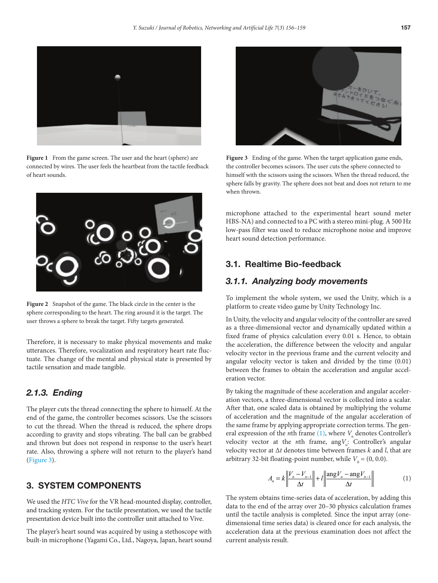

<span id="page-1-0"></span>Figure 1 | From the game screen. The user and the heart (sphere) are connected by wires. The user feels the heartbeat from the tactile feedback of heart sounds.



<span id="page-1-1"></span>**Figure 2** | Snapshot of the game. The black circle in the center is the sphere corresponding to the heart. The ring around it is the target. The user throws a sphere to break the target. Fifty targets generated.

Therefore, it is necessary to make physical movements and make utterances. Therefore, vocalization and respiratory heart rate fluctuate. The change of the mental and physical state is presented by tactile sensation and made tangible.

### *2.1.3. Ending*

The player cuts the thread connecting the sphere to himself. At the end of the game, the controller becomes scissors. Use the scissors to cut the thread. When the thread is reduced, the sphere drops according to gravity and stops vibrating. The ball can be grabbed and thrown but does not respond in response to the user's heart rate. Also, throwing a sphere will not return to the player's hand [\(Figure 3\)](#page-1-2).

# 3. SYSTEM COMPONENTS

We used the *HTC Vive* for the VR head-mounted display, controller, and tracking system. For the tactile presentation, we used the tactile presentation device built into the controller unit attached to Vive.

The player's heart sound was acquired by using a stethoscope with built-in microphone (Yagami Co., Ltd., Nagoya, Japan, heart sound



Figure 3 | Ending of the game. When the target application game ends, the controller becomes scissors. The user cuts the sphere connected to himself with the scissors using the scissors. When the thread reduced, the sphere falls by gravity. The sphere does not beat and does not return to me when thrown.

<span id="page-1-2"></span>microphone attached to the experimental heart sound meter HBS-NA) and connected to a PC with a stereo mini-plug. A 500 Hz low-pass filter was used to reduce microphone noise and improve heart sound detection performance.

### 3.1. Realtime Bio-feedback

#### *3.1.1. Analyzing body movements*

To implement the whole system, we used the Unity, which is a platform to create video game by Unity Technology Inc.

In Unity, the velocity and angular velocity of the controller are saved as a three-dimensional vector and dynamically updated within a fixed frame of physics calculation every 0.01 s. Hence, to obtain the acceleration, the difference between the velocity and angular velocity vector in the previous frame and the current velocity and angular velocity vector is taken and divided by the time (0.01) between the frames to obtain the acceleration and angular acceleration vector.

By taking the magnitude of these acceleration and angular acceleration vectors, a three-dimensional vector is collected into a scalar. After that, one scaled data is obtained by multiplying the volume of acceleration and the magnitude of the angular acceleration of the same frame by applying appropriate correction terms. The general expression of the *n*th frame  $(1)$ , where  $V_n$  denotes Controller's velocity vector at the *n*th frame, ang*V*<sub>n</sub>: Controller's angular velocity vector at ∆*t* denotes time between frames *k* and *l*, that are arbitrary 32-bit floating-point number, while  $V_0 = (0, 0.0)$ .

$$
A_n = k \left\| \frac{V_n - V_{n-1}}{\Delta t} \right\| + l \left\| \frac{\text{ang } V_n - \text{ang } V_{n-1}}{\Delta t} \right\| \tag{1}
$$

The system obtains time-series data of acceleration, by adding this data to the end of the array over 20–30 physics calculation frames until the tactile analysis is completed. Since the input array (onedimensional time series data) is cleared once for each analysis, the acceleration data at the previous examination does not affect the current analysis result.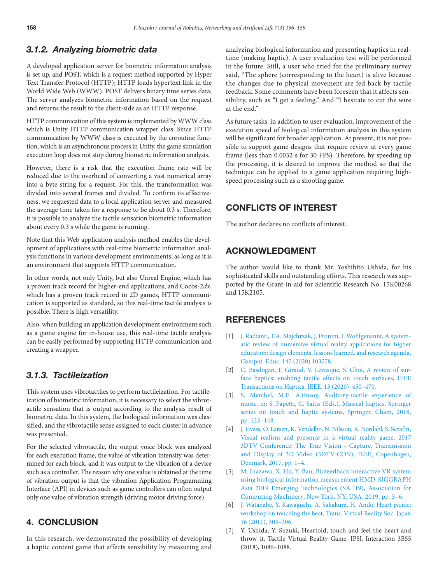### <span id="page-2-0"></span>*3.1.2. Analyzing biometric data*

A developed application server for biometric information analysis is set up, and POST, which is a request method supported by Hyper Text Transfer Protocol (HTTP); HTTP loads hypertext link in the World Wide Web (WWW). POST delivers binary time series data; The server analyzes biometric information based on the request and returns the result to the client-side as an HTTP response.

HTTP communication of this system is implemented by WWW class which is Unity HTTP communication wrapper class. Since HTTP communication by WWW class is executed by the coroutine function, which is an asynchronous process in Unity, the game simulation execution loop does not stop during biometric information analysis.

However, there is a risk that the execution frame rate will be reduced due to the overhead of converting a vast numerical array into a byte string for a request. For this, the transformation was divided into several frames and divided. To confirm its effectiveness, we requested data to a local application server and measured the average time taken for a response to be about 0.3 s. Therefore, it is possible to analyze the tactile sensation biometric information about every 0.3 s while the game is running.

Note that this Web application analysis method enables the development of applications with real-time biometric information analysis functions in various development environments, as long as it is an environment that supports HTTP communication.

In other words, not only Unity, but also Unreal Engine, which has a proven track record for higher-end applications, and Cocos-2*dx*, which has a proven track record in 2D games, HTTP communication is supported as standard, so this real-time tactile analysis is possible. There is high versatility.

Also, when building an application development environment such as a game engine for in-house use, this real-time tactile analysis can be easily performed by supporting HTTP communication and creating a wrapper.

### *3.1.3. Tactileization*

This system uses vibrotactiles to perform tactileization. For tactileization of biometric information, it is necessary to select the vibrotactile sensation that is output according to the analysis result of biometric data. In this system, the biological information was classified, and the vibrotactile sense assigned to each cluster in advance was presented.

For the selected vibrotactile, the output voice block was analyzed for each execution frame, the value of vibration intensity was determined for each block, and it was output to the vibration of a device such as a controller. The reason why one value is obtained at the time of vibration output is that the vibration Application Programming Interface (API) in devices such as game controllers can often output only one value of vibration strength (driving motor driving force).

# 4. CONCLUSION

In this research, we demonstrated the possibility of developing a haptic content game that affects sensibility by measuring and analyzing biological information and presenting haptics in realtime (making haptic). A user evaluation test will be performed in the future. Still, a user who tried for the preliminary survey said, "The sphere (corresponding to the heart) is alive because the changes due to physical movement are fed back by tactile feedback. Some comments have been foreseen that it affects sensibility, such as "I get a feeling." And "I hesitate to cut the wire at the end."

As future tasks, in addition to user evaluation, improvement of the execution speed of biological information analysis in this system will be significant for broader application. At present, it is not possible to support game designs that require review at every game frame (less than 0.0032 s for 30 FPS). Therefore, by speeding up the processing, it is desired to improve the method so that the technique can be applied to a game application requiring highspeed processing such as a shooting game.

### CONFLICTS OF INTEREST

The author declares no conflicts of interest.

### ACKNOWLEDGMENT

The author would like to thank Mr. Yoshihito Ushida, for his sophisticated skills and outstanding efforts. This research was supported by the Grant-in-aid for Scientific Research No. 15K00268 and 15K2105.

#### **REFERENCES**

- [\[1\]](#page-0-0) [J. Radianti, T.A. Majchrzak, J. Fromm, I. Wohlgenannt, A system](https://doi.org/10.1016/j.compedu.2019.103778)[atic review of immersive virtual reality applications for higher](https://doi.org/10.1016/j.compedu.2019.103778) [education: design elements, lessons learned, and research agenda,](https://doi.org/10.1016/j.compedu.2019.103778) [Comput. Educ. 147 \(2020\) 103778.](https://doi.org/10.1016/j.compedu.2019.103778)
- [\[2\]](#page-0-1) [C. Basdogan, F. Giraud, V. Levesque, S. Choi, A review of sur](https://doi.org/10.1109/toh.2020.2990712)[face haptics: enabling tactile effects on touch surfaces, IEEE](https://doi.org/10.1109/toh.2020.2990712) [Transactions on Haptics, IEEE, 13 \(2020\), 450–470.](https://doi.org/10.1109/toh.2020.2990712)
- [\[3\]](#page-0-2) [S. Merchel, M.E. Altinsoy, Auditory-tactile experience of](https://doi.org/10.1007/978-3-319-58316-7_7) [music, in: S. Papetti, C. Saitis \(Eds.\), Musical haptics. Springer](https://doi.org/10.1007/978-3-319-58316-7_7) [series on touch and haptic systems, Springer, Cham, 2018,](https://doi.org/10.1007/978-3-319-58316-7_7) [pp. 123–148.](https://doi.org/10.1007/978-3-319-58316-7_7)
- <span id="page-2-1"></span>[\[4\]](#page-0-3) [J. Hvass, O. Larsen, K. Vendelbo, N. Nilsson, R. Nordahl, S. Serafin,](https://doi.org/10.1109/3DTV.2017.8280421) [Visual realism and presence in a virtual reality game, 2017](https://doi.org/10.1109/3DTV.2017.8280421) [3DTV Conference: The True Vision - Capture, Transmission](https://doi.org/10.1109/3DTV.2017.8280421) [and Display of 3D Video \(3DTV-CON\), IEEE, Copenhagen,](https://doi.org/10.1109/3DTV.2017.8280421) [Denmark, 2017, pp. 1–4.](https://doi.org/10.1109/3DTV.2017.8280421)
- [\[5\]](#page-0-4) [M. Inazawa, X. Hu, Y. Ban, Biofeedback interactive VR system](https://doi.org/10.1145/3355049.3360523) [using biological information measurement HMD, SIGGRAPH](https://doi.org/10.1145/3355049.3360523) [Asia 2019 Emerging Technologies \(SA '19\), Association for](https://doi.org/10.1145/3355049.3360523) [Computing Machinery, New York, NY, USA, 2019, pp. 5–6.](https://doi.org/10.1145/3355049.3360523)
- [\[6\]](#page-0-5) [J. Watanabe, Y. Kawaguchi, A. Sakakura, H. Ando, Heart picnic:](https://doi.org/10.18974/tvrsj.16.3_303) [workshop on touching the beat, Trans. Virtual Reality Soc. Japan](https://doi.org/10.18974/tvrsj.16.3_303)  [16 \(2011\), 303–306.](https://doi.org/10.18974/tvrsj.16.3_303)
- [\[7\]](#page-0-6) Y. Ushida, Y. Suzuki, Heartoid, touch and feel the heart and throw it, Tactile Virtual Reality Game, IPSJ, Interaction 3B55 (2018), 1086–1088.